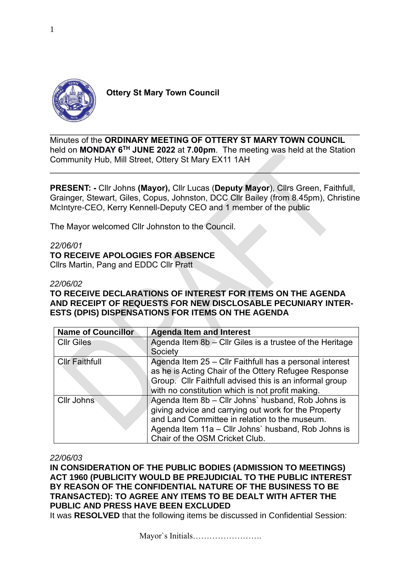

 **Ottery St Mary Town Council**

 $\_$  , and the set of the set of the set of the set of the set of the set of the set of the set of the set of the set of the set of the set of the set of the set of the set of the set of the set of the set of the set of th Minutes of the **ORDINARY MEETING OF OTTERY ST MARY TOWN COUNCIL** held on **MONDAY 6 TH JUNE 2022** at **7.00pm**.The meeting was held at the Station Community Hub, Mill Street, Ottery St Mary EX11 1AH

 $\_$  , and the contribution of the contribution of  $\mathcal{L}_\mathcal{A}$  , and the contribution of  $\mathcal{L}_\mathcal{A}$ 

**PRESENT: -** Cllr Johns **(Mayor),** Cllr Lucas (**Deputy Mayor**), Cllrs Green, Faithfull, Grainger, Stewart, Giles, Copus, Johnston, DCC Cllr Bailey (from 8.45pm), Christine McIntyre-CEO, Kerry Kennell-Deputy CEO and 1 member of the public

The Mayor welcomed Cllr Johnston to the Council.

## *22/06/01*

## **TO RECEIVE APOLOGIES FOR ABSENCE**

Cllrs Martin, Pang and EDDC Cllr Pratt

## *22/06/02*

**TO RECEIVE DECLARATIONS OF INTEREST FOR ITEMS ON THE AGENDA AND RECEIPT OF REQUESTS FOR NEW DISCLOSABLE PECUNIARY INTER-ESTS (DPIS) DISPENSATIONS FOR ITEMS ON THE AGENDA**

| <b>Name of Councillor</b> | <b>Agenda Item and Interest</b>                           |
|---------------------------|-----------------------------------------------------------|
| <b>CIIr Giles</b>         | Agenda Item $8b - Clr$ Giles is a trustee of the Heritage |
|                           | Society                                                   |
| <b>Cllr Faithfull</b>     | Agenda Item 25 – Cllr Faithfull has a personal interest   |
|                           | as he is Acting Chair of the Ottery Refugee Response      |
|                           | Group. Cllr Faithfull advised this is an informal group   |
|                           | with no constitution which is not profit making.          |
| <b>Cllr Johns</b>         | Agenda Item 8b - Cllr Johns' husband, Rob Johns is        |
|                           | giving advice and carrying out work for the Property      |
|                           | and Land Committee in relation to the museum.             |
|                           | Agenda Item 11a - Cllr Johns' husband, Rob Johns is       |
|                           | Chair of the OSM Cricket Club.                            |

## *22/06/03*

**IN CONSIDERATION OF THE PUBLIC BODIES (ADMISSION TO MEETINGS) ACT 1960 (PUBLICITY WOULD BE PREJUDICIAL TO THE PUBLIC INTEREST BY REASON OF THE CONFIDENTIAL NATURE OF THE BUSINESS TO BE TRANSACTED): TO AGREE ANY ITEMS TO BE DEALT WITH AFTER THE PUBLIC AND PRESS HAVE BEEN EXCLUDED**

It was **RESOLVED** that the following items be discussed in Confidential Session: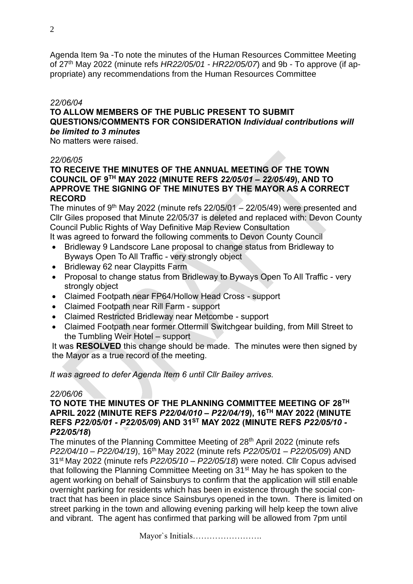Agenda Item 9a -To note the minutes of the Human Resources Committee Meeting of 27th May 2022 (minute refs *HR22/05/01 - HR22/05/07*) and 9b - To approve (if appropriate) any recommendations from the Human Resources Committee

## *22/06/04*

## **TO ALLOW MEMBERS OF THE PUBLIC PRESENT TO SUBMIT QUESTIONS/COMMENTS FOR CONSIDERATION** *Individual contributions will be limited to 3 minutes*

No matters were raised.

#### *22/06/05*

## **TO RECEIVE THE MINUTES OF THE ANNUAL MEETING OF THE TOWN COUNCIL OF 9TH MAY 2022 (MINUTE REFS** *22/05/01 – 22/05/49***), AND TO APPROVE THE SIGNING OF THE MINUTES BY THE MAYOR AS A CORRECT RECORD**

The minutes of 9<sup>th</sup> May 2022 (minute refs  $22/05/01 - 22/05/49$ ) were presented and Cllr Giles proposed that Minute 22/05/37 is deleted and replaced with: Devon County Council Public Rights of Way Definitive Map Review Consultation

It was agreed to forward the following comments to Devon County Council

- Bridleway 9 Landscore Lane proposal to change status from Bridleway to Byways Open To All Traffic - very strongly object
- Bridleway 62 near Claypitts Farm
- Proposal to change status from Bridleway to Byways Open To All Traffic very strongly object
- Claimed Footpath near FP64/Hollow Head Cross support
- Claimed Footpath near Rill Farm support
- Claimed Restricted Bridleway near Metcombe support
- Claimed Footpath near former Ottermill Switchgear building, from Mill Street to the Tumbling Weir Hotel – support

It was **RESOLVED** this change should be made. The minutes were then signed by the Mayor as a true record of the meeting.

*It was agreed to defer Agenda Item 6 until Cllr Bailey arrives.*

#### *22/06/06*

## **TO NOTE THE MINUTES OF THE PLANNING COMMITTEE MEETING OF 28TH APRIL 2022 (MINUTE REFS** *P22/04/010 – P22/04/19***), 16TH MAY 2022 (MINUTE REFS** *P22/05/01 - P22/05/09***) AND 31ST MAY 2022 (MINUTE REFS** *P22/05/10 - P22/05/18***)**

The minutes of the Planning Committee Meeting of 28<sup>th</sup> April 2022 (minute refs *P22/04/10 – P22/04/19*), 16th May 2022 (minute refs *P22/05/01 – P22/05/09*) AND 31st May 2022 (minute refs *P22/05/10 – P22/05/18*) were noted. Cllr Copus advised that following the Planning Committee Meeting on 31st May he has spoken to the agent working on behalf of Sainsburys to confirm that the application will still enable overnight parking for residents which has been in existence through the social contract that has been in place since Sainsburys opened in the town. There is limited on street parking in the town and allowing evening parking will help keep the town alive and vibrant. The agent has confirmed that parking will be allowed from 7pm until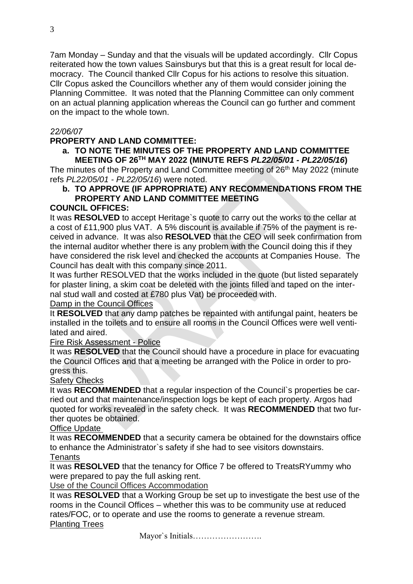7am Monday – Sunday and that the visuals will be updated accordingly. Cllr Copus reiterated how the town values Sainsburys but that this is a great result for local democracy. The Council thanked Cllr Copus for his actions to resolve this situation. Cllr Copus asked the Councillors whether any of them would consider joining the Planning Committee. It was noted that the Planning Committee can only comment on an actual planning application whereas the Council can go further and comment on the impact to the whole town.

# *22/06/07*

# **PROPERTY AND LAND COMMITTEE:**

# **a. TO NOTE THE MINUTES OF THE PROPERTY AND LAND COMMITTEE MEETING OF 26TH MAY 2022 (MINUTE REFS** *PL22/05/01 - PL22/05/16***)**

The minutes of the Property and Land Committee meeting of 26<sup>th</sup> May 2022 (minute refs *PL22/05/01 - PL22/05/16*) were noted.

# **b. TO APPROVE (IF APPROPRIATE) ANY RECOMMENDATIONS FROM THE PROPERTY AND LAND COMMITTEE MEETING**

# **COUNCIL OFFICES:**

It was **RESOLVED** to accept Heritage`s quote to carry out the works to the cellar at a cost of £11,900 plus VAT. A 5% discount is available if 75% of the payment is received in advance. It was also **RESOLVED** that the CEO will seek confirmation from the internal auditor whether there is any problem with the Council doing this if they have considered the risk level and checked the accounts at Companies House. The Council has dealt with this company since 2011.

It was further RESOLVED that the works included in the quote (but listed separately for plaster lining, a skim coat be deleted with the joints filled and taped on the internal stud wall and costed at £780 plus Vat) be proceeded with.

# Damp in the Council Offices

It **RESOLVED** that any damp patches be repainted with antifungal paint, heaters be installed in the toilets and to ensure all rooms in the Council Offices were well ventilated and aired.

# Fire Risk Assessment - Police

It was **RESOLVED** that the Council should have a procedure in place for evacuating the Council Offices and that a meeting be arranged with the Police in order to progress this.

# Safety Checks

It was **RECOMMENDED** that a regular inspection of the Council`s properties be carried out and that maintenance/inspection logs be kept of each property. Argos had quoted for works revealed in the safety check. It was **RECOMMENDED** that two further quotes be obtained.

# Office Update

It was **RECOMMENDED** that a security camera be obtained for the downstairs office to enhance the Administrator`s safety if she had to see visitors downstairs. **Tenants** 

# It was **RESOLVED** that the tenancy for Office 7 be offered to TreatsRYummy who were prepared to pay the full asking rent.

Use of the Council Offices Accommodation

It was **RESOLVED** that a Working Group be set up to investigate the best use of the rooms in the Council Offices – whether this was to be community use at reduced rates/FOC, or to operate and use the rooms to generate a revenue stream. Planting Trees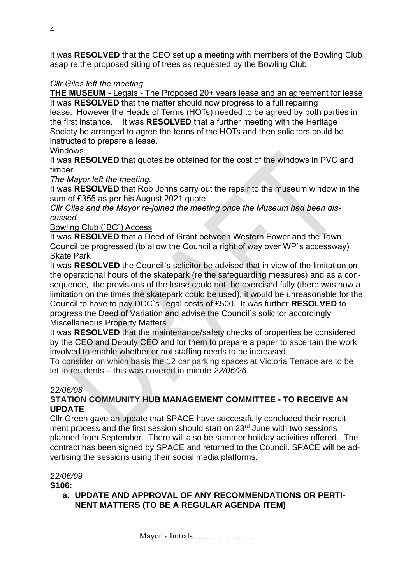It was **RESOLVED** that the CEO set up a meeting with members of the Bowling Club asap re the proposed siting of trees as requested by the Bowling Club.

# *Cllr Giles left the meeting.*

**THE MUSEUM** - Legals - The Proposed 20+ years lease and an agreement for lease

It was **RESOLVED** that the matter should now progress to a full repairing lease. However the Heads of Terms (HOTs) needed to be agreed by both parties in the first instance. It was **RESOLVED** that a further meeting with the Heritage Society be arranged to agree the terms of the HOTs and then solicitors could be instructed to prepare a lease.

# **Windows**

It was **RESOLVED** that quotes be obtained for the cost of the windows in PVC and timber.

*The Mayor left the meeting.* 

It was **RESOLVED** that Rob Johns carry out the repair to the museum window in the sum of £355 as per his August 2021 quote.

*Cllr Giles and the Mayor re-joined the meeting once the Museum had been discussed.* 

# Bowling Club (`BC`) Access

It was **RESOLVED** that a Deed of Grant between Western Power and the Town Council be progressed (to allow the Council a right of way over WP`s accessway) Skate Park

It was **RESOLVED** the Council`s solicitor be advised that in view of the limitation on the operational hours of the skatepark (re the safeguarding measures) and as a consequence, the provisions of the lease could not be exercised fully (there was now a limitation on the times the skatepark could be used), it would be unreasonable for the Council to have to pay DCC`s legal costs of £500. It was further **RESOLVED** to progress the Deed of Variation and advise the Council`s solicitor accordingly Miscellaneous Property Matters

It was **RESOLVED** that the maintenance/safety checks of properties be considered by the CEO and Deputy CEO and for them to prepare a paper to ascertain the work involved to enable whether or not staffing needs to be increased

To consider on which basis the 12 car parking spaces at Victoria Terrace are to be let to residents – this was covered in minute *22/06/26.*

# *22/06/08*

# **STATION COMMUNITY HUB MANAGEMENT COMMITTEE - TO RECEIVE AN UPDATE**

Cllr Green gave an update that SPACE have successfully concluded their recruitment process and the first session should start on 23<sup>rd</sup> June with two sessions planned from September. There will also be summer holiday activities offered. The contract has been signed by SPACE and returned to the Council. SPACE will be advertising the sessions using their social media platforms.

# *22/06/09*

**S106:** 

**a. UPDATE AND APPROVAL OF ANY RECOMMENDATIONS OR PERTI-NENT MATTERS (TO BE A REGULAR AGENDA ITEM)**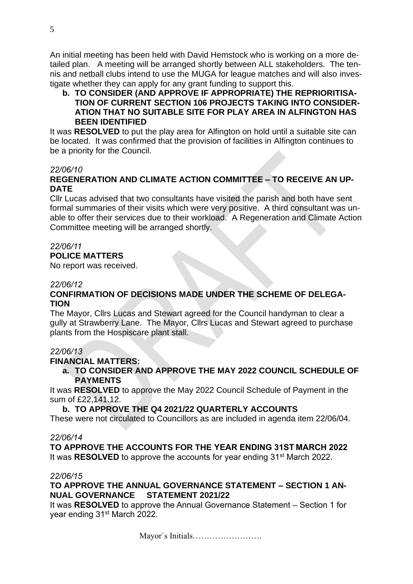An initial meeting has been held with David Hemstock who is working on a more detailed plan. A meeting will be arranged shortly between ALL stakeholders. The tennis and netball clubs intend to use the MUGA for league matches and will also investigate whether they can apply for any grant funding to support this.

# **b. TO CONSIDER (AND APPROVE IF APPROPRIATE) THE REPRIORITISA-TION OF CURRENT SECTION 106 PROJECTS TAKING INTO CONSIDER-ATION THAT NO SUITABLE SITE FOR PLAY AREA IN ALFINGTON HAS BEEN IDENTIFIED**

It was **RESOLVED** to put the play area for Alfington on hold until a suitable site can be located. It was confirmed that the provision of facilities in Alfington continues to be a priority for the Council.

## *22/06/10*

# **REGENERATION AND CLIMATE ACTION COMMITTEE – TO RECEIVE AN UP-DATE**

Cllr Lucas advised that two consultants have visited the parish and both have sent formal summaries of their visits which were very positive. A third consultant was unable to offer their services due to their workload. A Regeneration and Climate Action Committee meeting will be arranged shortly.

## *22/06/11*

# **POLICE MATTERS**

No report was received.

## *22/06/12*

# **CONFIRMATION OF DECISIONS MADE UNDER THE SCHEME OF DELEGA-TION**

The Mayor, Cllrs Lucas and Stewart agreed for the Council handyman to clear a gully at Strawberry Lane. The Mayor, Cllrs Lucas and Stewart agreed to purchase plants from the Hospiscare plant stall.

## *22/06/13*

## **FINANCIAL MATTERS:**

**a. TO CONSIDER AND APPROVE THE MAY 2022 COUNCIL SCHEDULE OF PAYMENTS**

It was **RESOLVED** to approve the May 2022 Council Schedule of Payment in the sum of £22,141.12.

# **b. TO APPROVE THE Q4 2021/22 QUARTERLY ACCOUNTS**

These were not circulated to Councillors as are included in agenda item 22/06/04.

## *22/06/14*

**TO APPROVE THE ACCOUNTS FOR THE YEAR ENDING 31ST MARCH 2022** It was **RESOLVED** to approve the accounts for year ending 31<sup>st</sup> March 2022.

#### *22/06/15*

# **TO APPROVE THE ANNUAL GOVERNANCE STATEMENT – SECTION 1 AN-NUAL GOVERNANCE STATEMENT 2021/22**

It was **RESOLVED** to approve the Annual Governance Statement – Section 1 for year ending 31<sup>st</sup> March 2022.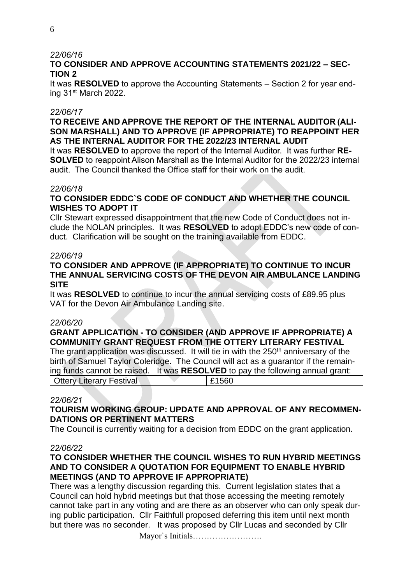## *22/06/16*

# **TO CONSIDER AND APPROVE ACCOUNTING STATEMENTS 2021/22 – SEC-TION 2**

It was **RESOLVED** to approve the Accounting Statements – Section 2 for year ending 31st March 2022.

## *22/06/17*

## **TO RECEIVE AND APPROVE THE REPORT OF THE INTERNAL AUDITOR (ALI-SON MARSHALL) AND TO APPROVE (IF APPROPRIATE) TO REAPPOINT HER AS THE INTERNAL AUDITOR FOR THE 2022/23 INTERNAL AUDIT**

It was **RESOLVED** to approve the report of the Internal Auditor. It was further **RE-SOLVED** to reappoint Alison Marshall as the Internal Auditor for the 2022/23 internal audit. The Council thanked the Office staff for their work on the audit.

## *22/06/18*

# **TO CONSIDER EDDC`S CODE OF CONDUCT AND WHETHER THE COUNCIL WISHES TO ADOPT IT**

Cllr Stewart expressed disappointment that the new Code of Conduct does not include the NOLAN principles. It was **RESOLVED** to adopt EDDC's new code of conduct. Clarification will be sought on the training available from EDDC.

## *22/06/19*

# **TO CONSIDER AND APPROVE (IF APPROPRIATE) TO CONTINUE TO INCUR THE ANNUAL SERVICING COSTS OF THE DEVON AIR AMBULANCE LANDING SITE**

It was **RESOLVED** to continue to incur the annual servicing costs of £89.95 plus VAT for the Devon Air Ambulance Landing site.

## *22/06/20*

# **GRANT APPLICATION - TO CONSIDER (AND APPROVE IF APPROPRIATE) A COMMUNITY GRANT REQUEST FROM THE OTTERY LITERARY FESTIVAL**

The grant application was discussed. It will tie in with the 250<sup>th</sup> anniversary of the birth of Samuel Taylor Coleridge. The Council will act as a guarantor if the remaining funds cannot be raised. It was **RESOLVED** to pay the following annual grant: Ottery Literary Festival **Election** 1 £1560

## *22/06/21*

# **TOURISM WORKING GROUP: UPDATE AND APPROVAL OF ANY RECOMMEN-DATIONS OR PERTINENT MATTERS**

The Council is currently waiting for a decision from EDDC on the grant application.

*22/06/22*

# **TO CONSIDER WHETHER THE COUNCIL WISHES TO RUN HYBRID MEETINGS AND TO CONSIDER A QUOTATION FOR EQUIPMENT TO ENABLE HYBRID MEETINGS (AND TO APPROVE IF APPROPRIATE)**

There was a lengthy discussion regarding this. Current legislation states that a Council can hold hybrid meetings but that those accessing the meeting remotely cannot take part in any voting and are there as an observer who can only speak during public participation. Cllr Faithfull proposed deferring this item until next month but there was no seconder. It was proposed by Cllr Lucas and seconded by Cllr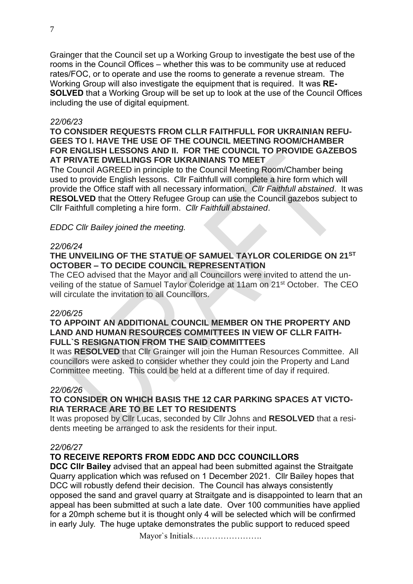Grainger that the Council set up a Working Group to investigate the best use of the rooms in the Council Offices – whether this was to be community use at reduced rates/FOC, or to operate and use the rooms to generate a revenue stream. The Working Group will also investigate the equipment that is required. It was **RE-SOLVED** that a Working Group will be set up to look at the use of the Council Offices including the use of digital equipment.

#### *22/06/23*

## **TO CONSIDER REQUESTS FROM CLLR FAITHFULL FOR UKRAINIAN REFU-GEES TO I. HAVE THE USE OF THE COUNCIL MEETING ROOM/CHAMBER FOR ENGLISH LESSONS AND II. FOR THE COUNCIL TO PROVIDE GAZEBOS AT PRIVATE DWELLINGS FOR UKRAINIANS TO MEET**

The Council AGREED in principle to the Council Meeting Room/Chamber being used to provide English lessons. Cllr Faithfull will complete a hire form which will provide the Office staff with all necessary information. *Cllr Faithfull abstained*. It was **RESOLVED** that the Ottery Refugee Group can use the Council gazebos subject to Cllr Faithfull completing a hire form. *Cllr Faithfull abstained*.

## *EDDC Cllr Bailey joined the meeting.*

#### *22/06/24*

# **THE UNVEILING OF THE STATUE OF SAMUEL TAYLOR COLERIDGE ON 21ST OCTOBER – TO DECIDE COUNCIL REPRESENTATION**

The CEO advised that the Mayor and all Councillors were invited to attend the unveiling of the statue of Samuel Taylor Coleridge at 11am on 21st October. The CEO will circulate the invitation to all Councillors.

#### *22/06/25*

## **TO APPOINT AN ADDITIONAL COUNCIL MEMBER ON THE PROPERTY AND LAND AND HUMAN RESOURCES COMMITTEES IN VIEW OF CLLR FAITH-FULL`S RESIGNATION FROM THE SAID COMMITTEES**

It was **RESOLVED** that Cllr Grainger will join the Human Resources Committee. All councillors were asked to consider whether they could join the Property and Land Committee meeting. This could be held at a different time of day if required.

#### *22/06/26*

## **TO CONSIDER ON WHICH BASIS THE 12 CAR PARKING SPACES AT VICTO-RIA TERRACE ARE TO BE LET TO RESIDENTS**

It was proposed by Cllr Lucas, seconded by Cllr Johns and **RESOLVED** that a residents meeting be arranged to ask the residents for their input.

#### *22/06/27*

# **TO RECEIVE REPORTS FROM EDDC AND DCC COUNCILLORS**

**DCC Cllr Bailey** advised that an appeal had been submitted against the Straitgate Quarry application which was refused on 1 December 2021. Cllr Bailey hopes that DCC will robustly defend their decision. The Council has always consistently opposed the sand and gravel quarry at Straitgate and is disappointed to learn that an appeal has been submitted at such a late date. Over 100 communities have applied for a 20mph scheme but it is thought only 4 will be selected which will be confirmed in early July. The huge uptake demonstrates the public support to reduced speed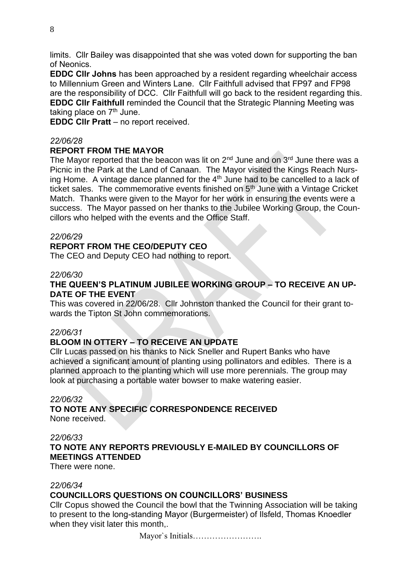limits. Cllr Bailey was disappointed that she was voted down for supporting the ban of Neonics.

**EDDC Cllr Johns** has been approached by a resident regarding wheelchair access to Millennium Green and Winters Lane. Cllr Faithfull advised that FP97 and FP98 are the responsibility of DCC. Cllr Faithfull will go back to the resident regarding this. **EDDC Cllr Faithfull** reminded the Council that the Strategic Planning Meeting was taking place on  $7<sup>th</sup>$  June.

**EDDC Cllr Pratt** – no report received.

#### *22/06/28*

#### **REPORT FROM THE MAYOR**

The Mayor reported that the beacon was lit on  $2^{nd}$  June and on  $3^{rd}$  June there was a Picnic in the Park at the Land of Canaan. The Mayor visited the Kings Reach Nursing Home. A vintage dance planned for the  $4<sup>th</sup>$  June had to be cancelled to a lack of ticket sales. The commemorative events finished on 5<sup>th</sup> June with a Vintage Cricket Match. Thanks were given to the Mayor for her work in ensuring the events were a success. The Mayor passed on her thanks to the Jubilee Working Group, the Councillors who helped with the events and the Office Staff.

#### *22/06/29*

#### **REPORT FROM THE CEO/DEPUTY CEO**

The CEO and Deputy CEO had nothing to report.

#### *22/06/30*

## **THE QUEEN'S PLATINUM JUBILEE WORKING GROUP – TO RECEIVE AN UP-DATE OF THE EVENT**

This was covered in 22/06/28. Cllr Johnston thanked the Council for their grant towards the Tipton St John commemorations.

#### *22/06/31*

# **BLOOM IN OTTERY – TO RECEIVE AN UPDATE**

Cllr Lucas passed on his thanks to Nick Sneller and Rupert Banks who have achieved a significant amount of planting using pollinators and edibles. There is a planned approach to the planting which will use more perennials. The group may look at purchasing a portable water bowser to make watering easier.

#### *22/06/32*

#### **TO NOTE ANY SPECIFIC CORRESPONDENCE RECEIVED**  None received.

#### *22/06/33*

## **TO NOTE ANY REPORTS PREVIOUSLY E-MAILED BY COUNCILLORS OF MEETINGS ATTENDED**

There were none.

#### *22/06/34*

#### **COUNCILLORS QUESTIONS ON COUNCILLORS' BUSINESS**

Cllr Copus showed the Council the bowl that the Twinning Association will be taking to present to the long-standing Mayor (Burgermeister) of Ilsfeld, Thomas Knoedler when they visit later this month,.